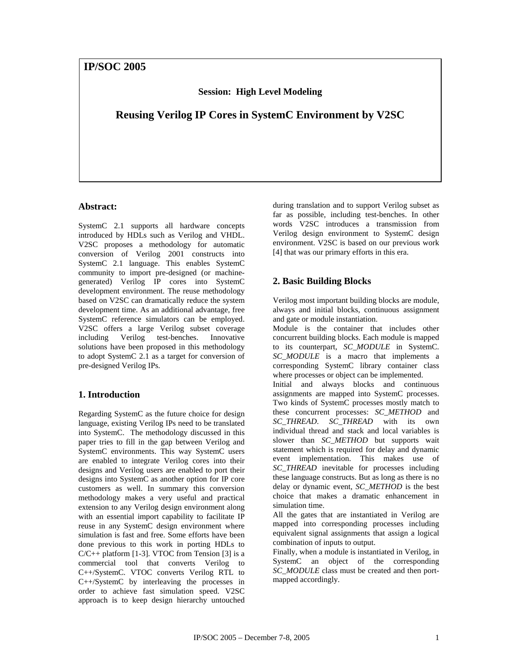**Session: High Level Modeling**

**Reusing Verilog IP Cores in SystemC Environment by V2SC**

## **Abstract:**

SystemC 2.1 supports all hardware concepts introduced by HDLs such as Verilog and VHDL. V2SC proposes a methodology for automatic conversion of Verilog 2001 constructs into SystemC 2.1 language. This enables SystemC community to import pre-designed (or machinegenerated) Verilog IP cores into SystemC development environment. The reuse methodology based on V2SC can dramatically reduce the system development time. As an additional advantage, free SystemC reference simulators can be employed. V2SC offers a large Verilog subset coverage including Verilog test-benches. Innovative solutions have been proposed in this methodology to adopt SystemC 2.1 as a target for conversion of pre-designed Verilog IPs.

# **1. Introduction**

Regarding SystemC as the future choice for design language, existing Verilog IPs need to be translated into SystemC. The methodology discussed in this paper tries to fill in the gap between Verilog and SystemC environments. This way SystemC users are enabled to integrate Verilog cores into their designs and Verilog users are enabled to port their designs into SystemC as another option for IP core customers as well. In summary this conversion methodology makes a very useful and practical extension to any Verilog design environment along with an essential import capability to facilitate IP reuse in any SystemC design environment where simulation is fast and free. Some efforts have been done previous to this work in porting HDLs to  $C/C++$  platform [1-3]. VTOC from Tension [3] is a commercial tool that converts Verilog to C++/SystemC. VTOC converts Verilog RTL to C++/SystemC by interleaving the processes in order to achieve fast simulation speed. V2SC approach is to keep design hierarchy untouched during translation and to support Verilog subset as far as possible, including test-benches. In other words V2SC introduces a transmission from Verilog design environment to SystemC design environment. V2SC is based on our previous work [4] that was our primary efforts in this era.

# **2. Basic Building Blocks**

Verilog most important building blocks are module, always and initial blocks, continuous assignment and gate or module instantiation.

Module is the container that includes other concurrent building blocks. Each module is mapped to its counterpart, *SC\_MODULE* in SystemC. *SC\_MODULE* is a macro that implements a corresponding SystemC library container class where processes or object can be implemented.

Initial and always blocks and continuous assignments are mapped into SystemC processes. Two kinds of SystemC processes mostly match to these concurrent processes: *SC\_METHOD* and *SC\_THREAD*. *SC\_THREAD* with its own individual thread and stack and local variables is slower than *SC\_METHOD* but supports wait statement which is required for delay and dynamic event implementation. This makes use of *SC\_THREAD* inevitable for processes including these language constructs. But as long as there is no delay or dynamic event, *SC\_METHOD* is the best choice that makes a dramatic enhancement in simulation time.

All the gates that are instantiated in Verilog are mapped into corresponding processes including equivalent signal assignments that assign a logical combination of inputs to output.

Finally, when a module is instantiated in Verilog, in SystemC an object of the corresponding *SC\_MODULE* class must be created and then portmapped accordingly.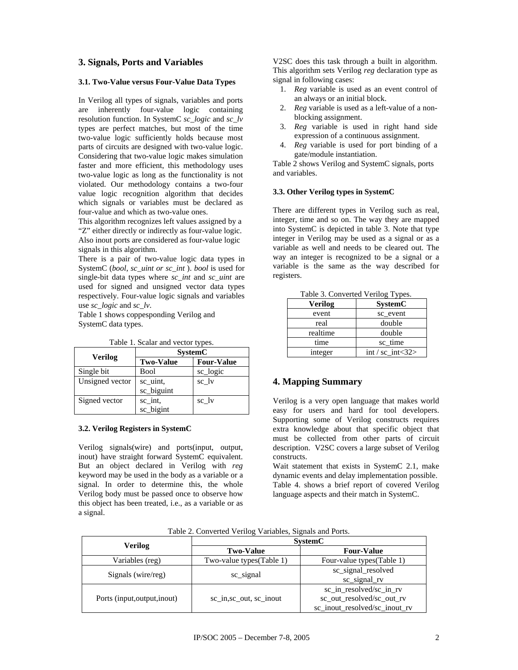## **3. Signals, Ports and Variables**

#### **3.1. Two-Value versus Four-Value Data Types**

In Verilog all types of signals, variables and ports are inherently four-value logic containing resolution function. In SystemC *sc\_logic* and *sc\_lv* types are perfect matches, but most of the time two-value logic sufficiently holds because most parts of circuits are designed with two-value logic. Considering that two-value logic makes simulation faster and more efficient, this methodology uses two-value logic as long as the functionality is not violated. Our methodology contains a two-four value logic recognition algorithm that decides which signals or variables must be declared as four-value and which as two-value ones.

This algorithm recognizes left values assigned by a "Z" either directly or indirectly as four-value logic. Also inout ports are considered as four-value logic signals in this algorithm.

There is a pair of two-value logic data types in SystemC (*bool*, *sc\_uint or sc\_int* ). *bool* is used for single-bit data types where *sc\_int* and *sc\_uint* are used for signed and unsigned vector data types respectively. Four-value logic signals and variables use *sc\_logic* and *sc\_lv*.

Table 1 shows coppesponding Verilog and SystemC data types.

|                 | <b>SystemC</b>   |                   |
|-----------------|------------------|-------------------|
| Verilog         | <b>Two-Value</b> | <b>Four-Value</b> |
| Single bit      | Bool             | sc_logic          |
| Unsigned vector | sc_uint,         | sc lv             |
|                 | sc_biguint       |                   |
| Signed vector   | sc_int,          | sc_lv             |
|                 | sc_bigint        |                   |

Table 1. Scalar and vector types.

#### **3.2. Verilog Registers in SystemC**

Verilog signals(wire) and ports(input, output, inout) have straight forward SystemC equivalent. But an object declared in Verilog with *reg* keyword may be used in the body as a variable or a signal. In order to determine this, the whole Verilog body must be passed once to observe how this object has been treated, i.e., as a variable or as a signal.

V2SC does this task through a built in algorithm. This algorithm sets Verilog *reg* declaration type as signal in following cases:

- 1. *Reg* variable is used as an event control of an always or an initial block.
- 2. *Reg* variable is used as a left-value of a nonblocking assignment.
- 3. *Reg* variable is used in right hand side expression of a continuous assignment.
- 4. *Reg* variable is used for port binding of a gate/module instantiation.

Table 2 shows Verilog and SystemC signals, ports and variables.

#### **3.3. Other Verilog types in SystemC**

There are different types in Verilog such as real, integer, time and so on. The way they are mapped into SystemC is depicted in table 3. Note that type integer in Verilog may be used as a signal or as a variable as well and needs to be cleared out. The way an integer is recognized to be a signal or a variable is the same as the way described for registers.

| Verilog  | <b>SystemC</b>        |  |
|----------|-----------------------|--|
| event    | sc_event              |  |
| real     | double                |  |
| realtime | double                |  |
| time     | sc time               |  |
| integer  | $int / sc_{int} < 32$ |  |

Table 3. Converted Verilog Types.

# **4. Mapping Summary**

Verilog is a very open language that makes world easy for users and hard for tool developers. Supporting some of Verilog constructs requires extra knowledge about that specific object that must be collected from other parts of circuit description. V2SC covers a large subset of Verilog constructs.

Wait statement that exists in SystemC 2.1, make dynamic events and delay implementation possible. Table 4. shows a brief report of covered Verilog language aspects and their match in SystemC.

|                              | <b>SystemC</b>           |                                                                                       |  |
|------------------------------|--------------------------|---------------------------------------------------------------------------------------|--|
| <b>Verilog</b>               | <b>Two-Value</b>         | <b>Four-Value</b>                                                                     |  |
| Variables (reg)              | Two-value types(Table 1) | Four-value types(Table 1)                                                             |  |
| Signals (wire/reg)           | sc_signal                | sc_signal_resolved<br>sc_signal_rv                                                    |  |
| Ports (input, output, inout) | sc in, sc out, sc inout  | sc in resolved/sc in rv<br>sc_out_resolved/sc_out_rv<br>sc_inout_resolved/sc_inout_rv |  |

Table 2. Converted Verilog Variables, Signals and Ports.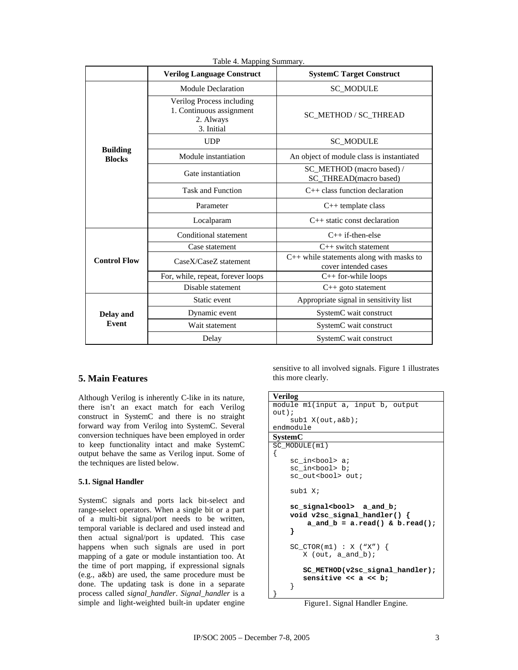|                                  | <b>Verilog Language Construct</b>                                                | <b>SystemC Target Construct</b>                                    |  |
|----------------------------------|----------------------------------------------------------------------------------|--------------------------------------------------------------------|--|
|                                  | <b>Module Declaration</b>                                                        | <b>SC_MODULE</b>                                                   |  |
|                                  | Verilog Process including<br>1. Continuous assignment<br>2. Always<br>3. Initial | SC_METHOD / SC_THREAD                                              |  |
|                                  | <b>UDP</b>                                                                       | <b>SC_MODULE</b>                                                   |  |
| <b>Building</b><br><b>Blocks</b> | Module instantiation                                                             | An object of module class is instantiated                          |  |
|                                  | Gate instantiation                                                               | SC_METHOD (macro based) /<br>SC_THREAD(macro based)                |  |
|                                  | <b>Task and Function</b>                                                         | $C++$ class function declaration                                   |  |
|                                  | Parameter                                                                        | $C++$ template class                                               |  |
|                                  | Localparam                                                                       | $C++$ static const declaration                                     |  |
|                                  | Conditional statement                                                            | $C++$ if-then-else                                                 |  |
|                                  | Case statement                                                                   | C++ switch statement                                               |  |
| <b>Control Flow</b>              | Case X/Case Z statement                                                          | $C++$ while statements along with masks to<br>cover intended cases |  |
|                                  | For, while, repeat, forever loops                                                | $C++$ for-while loops                                              |  |
|                                  | Disable statement                                                                | C++ goto statement                                                 |  |
| <b>Delay and</b><br>Event        | Static event                                                                     | Appropriate signal in sensitivity list                             |  |
|                                  | Dynamic event                                                                    | SystemC wait construct                                             |  |
|                                  | Wait statement                                                                   | SystemC wait construct                                             |  |
|                                  | Delay                                                                            | SystemC wait construct                                             |  |

Table 4. Mapping Summary.

### **5. Main Features**

Although Verilog is inherently C-like in its nature, there isn't an exact match for each Verilog construct in SystemC and there is no straight forward way from Verilog into SystemC. Several conversion techniques have been employed in order to keep functionality intact and make SystemC output behave the same as Verilog input. Some of the techniques are listed below.

#### **5.1. Signal Handler**

SystemC signals and ports lack bit-select and range-select operators. When a single bit or a part of a multi-bit signal/port needs to be written, temporal variable is declared and used instead and then actual signal/port is updated. This case happens when such signals are used in port mapping of a gate or module instantiation too. At the time of port mapping, if expressional signals (e.g., a&b) are used, the same procedure must be done. The updating task is done in a separate process called *signal\_handler*. *Signal\_handler* is a simple and light-weighted built-in updater engine

sensitive to all involved signals. Figure 1 illustrates this more clearly.

```
Verilog
module m1(input a, input b, output 
out); 
     sub1 X(out,a&b); 
endmodule
SystemC
SC_MODULE(m1) 
\left\{ \right.sc_in<br/>bool> a;
    sc_in<bool> b;
    sc_out<bool> out;
     sub1 X; 
     sc_signal<bool> a_and_b; 
     void v2sc_signal_handler() { 
          a_and_b = a.read() & b.read(); 
     }
     SC_CTOR(m1) : X ("X") { 
        X (out, a_and_b);
         SC_METHOD(v2sc_signal_handler); 
         sensitive << a << b; 
     } 
}
```
Figure1. Signal Handler Engine.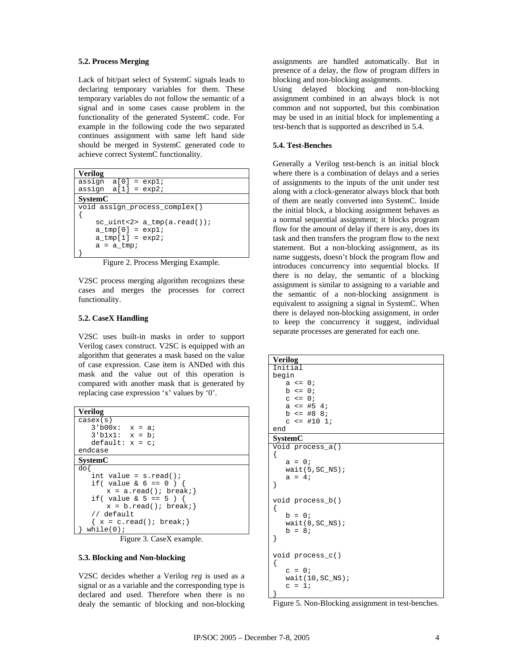#### **5.2. Process Merging**

Lack of bit/part select of SystemC signals leads to declaring temporary variables for them. These temporary variables do not follow the semantic of a signal and in some cases cause problem in the functionality of the generated SystemC code. For example in the following code the two separated continues assignment with same left hand side should be merged in SystemC generated code to achieve correct SystemC functionality.

| <b>Verilog</b> |                        |                                   |
|----------------|------------------------|-----------------------------------|
|                | assign $a[0] = exp1$ ; |                                   |
|                | assign $a[1] = exp2$ ; |                                   |
| <b>SystemC</b> |                        |                                   |
|                |                        | void assign_process_complex()     |
|                |                        |                                   |
|                |                        | $sc\_uint < 2$ > a_tmp(a.read()); |
|                | a $tmp[0] = exp1$ ;    |                                   |
|                | $a_tmp[1] = exp2$      |                                   |
|                | $a = a$ tmp;           |                                   |
|                |                        |                                   |

Figure 2. Process Merging Example.

V2SC process merging algorithm recognizes these cases and merges the processes for correct functionality.

#### **5.2. CaseX Handling**

V2SC uses built-in masks in order to support Verilog casex construct. V2SC is equipped with an algorithm that generates a mask based on the value of case expression. Case item is ANDed with this mask and the value out of this operation is compared with another mask that is generated by replacing case expression 'x' values by '0'.

| Verilog                      |
|------------------------------|
| casex(s)                     |
| $3!b00x: x = ai$             |
| $3'blx1: x = bi$             |
| $default: x = ci$            |
| endcase                      |
| <b>SystemC</b>               |
| doł                          |
| int value = $s.read()$ ;     |
| if( value & $6 == 0$ ) {     |
| $x = a.read()$ ; break; }    |
| if( value & $5 == 5$ ) {     |
| $x = b.read()$ ; break; }    |
| // default                   |
| $\{ x = c.read() : break \}$ |
| while(0);                    |

Figure 3. CaseX example.

# **5.3. Blocking and Non-blocking**

V2SC decides whether a Verilog *reg* is used as a signal or as a variable and the corresponding type is declared and used. Therefore when there is no dealy the semantic of blocking and non-blocking assignments are handled automatically. But in presence of a delay, the flow of program differs in blocking and non-blocking assignments.

Using delayed blocking and non-blocking assignment combined in an always block is not common and not supported, but this combination may be used in an initial block for implementing a test-bench that is supported as described in 5.4.

#### **5.4. Test-Benches**

Generally a Verilog test-bench is an initial block where there is a combination of delays and a series of assignments to the inputs of the unit under test along with a clock-generator always block that both of them are neatly converted into SystemC. Inside the initial block, a blocking assignment behaves as a normal sequential assignment; it blocks program flow for the amount of delay if there is any, does its task and then transfers the program flow to the next statement. But a non-blocking assignment, as its name suggests, doesn't block the program flow and introduces concurrency into sequential blocks. If there is no delay, the semantic of a blocking assignment is similar to assigning to a variable and the semantic of a non-blocking assignment is equivalent to assigning a signal in SystemC. When there is delayed non-blocking assignment, in order to keep the concurrency it suggest, individual separate processes are generated for each one.

| <b>Verilog</b>                 |
|--------------------------------|
| Initial                        |
| begin                          |
| $a \le 0;$                     |
| $b \le 0;$                     |
| $C \le 0;$                     |
| $a \leq #54$                   |
| $b \leq 488$                   |
| $c \leq \pm 10$ 1;             |
| end                            |
| <b>SystemC</b>                 |
| Void process_a()<br>{          |
| $a = 0;$                       |
| $wait(5, SC_N)$ ;              |
| $a = 4;$                       |
| $\}$                           |
| void process_b()               |
| {                              |
| $b = 0;$                       |
| $wait(8, SC_NS);$              |
| $b = 8i$                       |
| }                              |
|                                |
| void process_c()<br>ſ          |
| $C = 0;$                       |
|                                |
| $wait(10, SC_N)$ ;<br>$c = 1;$ |
|                                |
| }                              |

Figure 5. Non-Blocking assignment in test-benches.